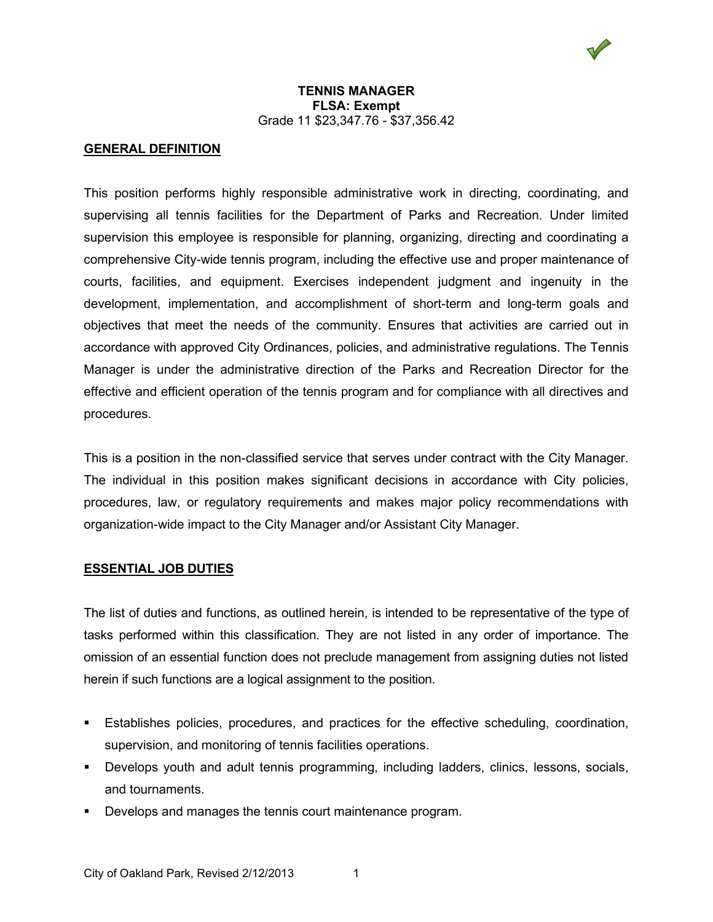

## **GENERAL DEFINITION**

This position performs highly responsible administrative work in directing, coordinating, and supervising all tennis facilities for the Department of Parks and Recreation. Under limited supervision this employee is responsible for planning, organizing, directing and coordinating a comprehensive City-wide tennis program, including the effective use and proper maintenance of courts, facilities, and equipment. Exercises independent judgment and ingenuity in the development, implementation, and accomplishment of short-term and long-term goals and objectives that meet the needs of the community. Ensures that activities are carried out in accordance with approved City Ordinances, policies, and administrative regulations. The Tennis Manager is under the administrative direction of the Parks and Recreation Director for the effective and efficient operation of the tennis program and for compliance with all directives and procedures.

This is a position in the non-classified service that serves under contract with the City Manager. The individual in this position makes significant decisions in accordance with City policies, procedures, law, or regulatory requirements and makes major policy recommendations with organization-wide impact to the City Manager and/or Assistant City Manager.

### **ESSENTIAL JOB DUTIES**

The list of duties and functions, as outlined herein, is intended to be representative of the type of tasks performed within this classification. They are not listed in any order of importance. The omission of an essential function does not preclude management from assigning duties not listed herein if such functions are a logical assignment to the position.

- Establishes policies, procedures, and practices for the effective scheduling, coordination, supervision, and monitoring of tennis facilities operations.
- Develops youth and adult tennis programming, including ladders, clinics, lessons, socials, and tournaments.
- Develops and manages the tennis court maintenance program.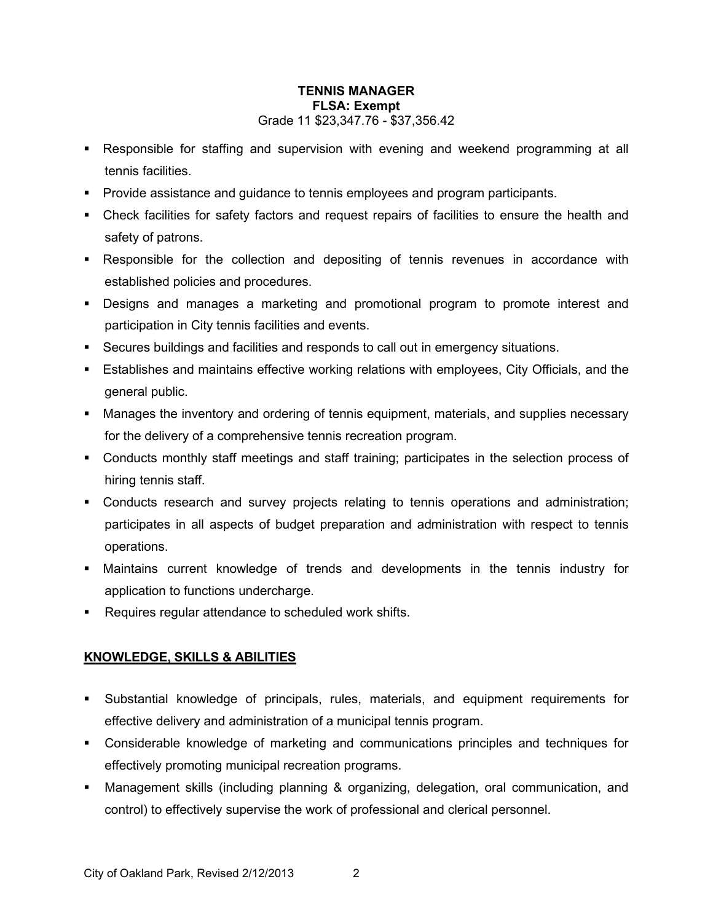- Responsible for staffing and supervision with evening and weekend programming at all tennis facilities.
- **Provide assistance and guidance to tennis employees and program participants.**
- Check facilities for safety factors and request repairs of facilities to ensure the health and safety of patrons.
- Responsible for the collection and depositing of tennis revenues in accordance with established policies and procedures.
- Designs and manages a marketing and promotional program to promote interest and participation in City tennis facilities and events.
- Secures buildings and facilities and responds to call out in emergency situations.
- Establishes and maintains effective working relations with employees, City Officials, and the general public.
- Manages the inventory and ordering of tennis equipment, materials, and supplies necessary for the delivery of a comprehensive tennis recreation program.
- Conducts monthly staff meetings and staff training; participates in the selection process of hiring tennis staff.
- Conducts research and survey projects relating to tennis operations and administration; participates in all aspects of budget preparation and administration with respect to tennis operations.
- Maintains current knowledge of trends and developments in the tennis industry for application to functions undercharge.
- Requires regular attendance to scheduled work shifts.

# **KNOWLEDGE, SKILLS & ABILITIES**

- Substantial knowledge of principals, rules, materials, and equipment requirements for effective delivery and administration of a municipal tennis program.
- Considerable knowledge of marketing and communications principles and techniques for effectively promoting municipal recreation programs.
- Management skills (including planning & organizing, delegation, oral communication, and control) to effectively supervise the work of professional and clerical personnel.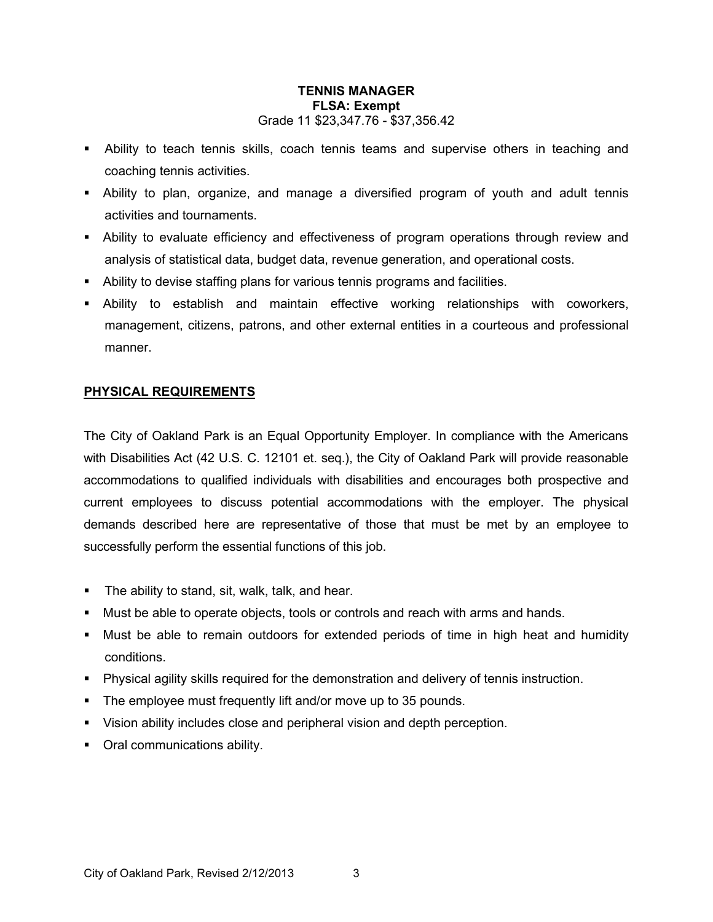- Ability to teach tennis skills, coach tennis teams and supervise others in teaching and coaching tennis activities.
- Ability to plan, organize, and manage a diversified program of youth and adult tennis activities and tournaments.
- Ability to evaluate efficiency and effectiveness of program operations through review and analysis of statistical data, budget data, revenue generation, and operational costs.
- Ability to devise staffing plans for various tennis programs and facilities.
- Ability to establish and maintain effective working relationships with coworkers, management, citizens, patrons, and other external entities in a courteous and professional manner.

## **PHYSICAL REQUIREMENTS**

The City of Oakland Park is an Equal Opportunity Employer. In compliance with the Americans with Disabilities Act (42 U.S. C. 12101 et. seq.), the City of Oakland Park will provide reasonable accommodations to qualified individuals with disabilities and encourages both prospective and current employees to discuss potential accommodations with the employer. The physical demands described here are representative of those that must be met by an employee to successfully perform the essential functions of this job.

- **The ability to stand, sit, walk, talk, and hear.**
- Must be able to operate objects, tools or controls and reach with arms and hands.
- Must be able to remain outdoors for extended periods of time in high heat and humidity conditions.
- Physical agility skills required for the demonstration and delivery of tennis instruction.
- **The employee must frequently lift and/or move up to 35 pounds.**
- Vision ability includes close and peripheral vision and depth perception.
- **•** Oral communications ability.